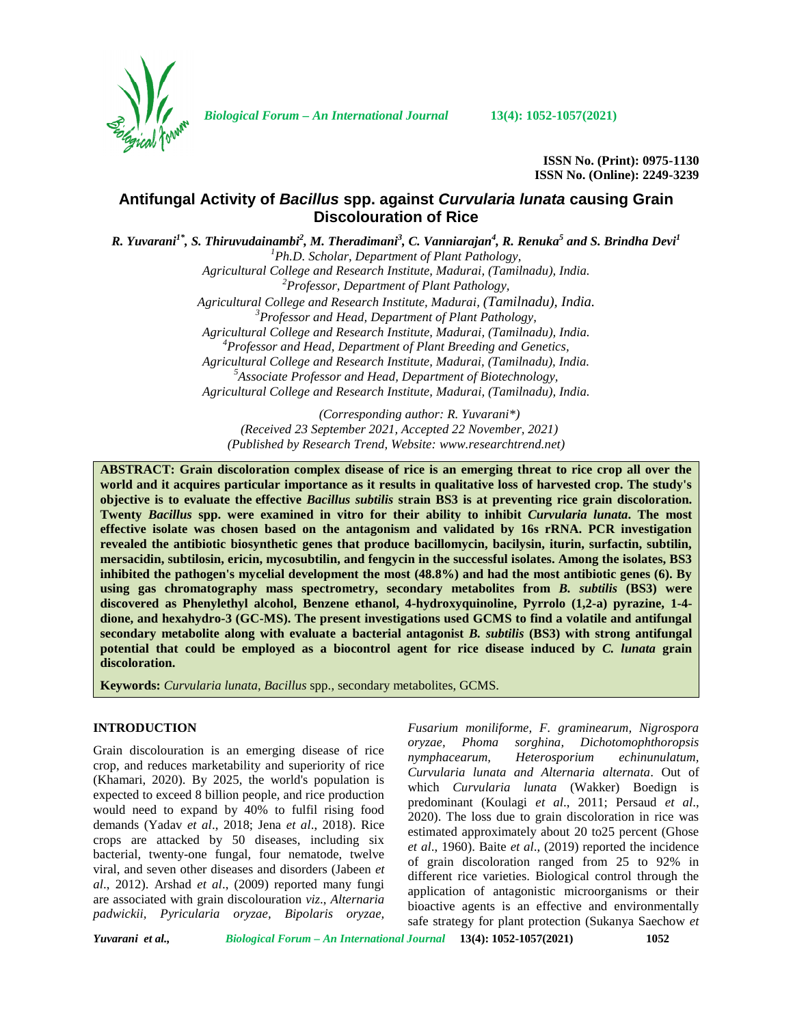

*Biological Forum – An International Journal* **13(4): 1052-1057(2021)**

**ISSN No. (Print): 0975-1130 ISSN No. (Online): 2249-3239**

# **Antifungal Activity of** *Bacillus* **spp. against** *Curvularia lunata* **causing Grain Discolouration of Rice**

*R. Yuvarani1\* , S. Thiruvudainambi<sup>2</sup> , M. Theradimani<sup>3</sup> , C. Vanniarajan<sup>4</sup> , R. Renuka<sup>5</sup> and S. Brindha Devi<sup>1</sup> <sup>1</sup>Ph.D. Scholar, Department of Plant Pathology,*

*Agricultural College and Research Institute, Madurai, (Tamilnadu), India. <sup>2</sup>Professor, Department of Plant Pathology, Agricultural College and Research Institute, Madurai, (Tamilnadu), India. <sup>3</sup>Professor and Head, Department of Plant Pathology,*

*Agricultural College and Research Institute, Madurai, (Tamilnadu), India. <sup>4</sup>Professor and Head, Department of Plant Breeding and Genetics, Agricultural College and Research Institute, Madurai, (Tamilnadu), India. <sup>5</sup>Associate Professor and Head, Department of Biotechnology, Agricultural College and Research Institute, Madurai, (Tamilnadu), India.*

*(Corresponding author: R. Yuvarani\*) (Received 23 September 2021, Accepted 22 November, 2021) (Published by Research Trend, Website: [www.researchtrend.net\)](www.researchtrend.net)*

**ABSTRACT: Grain discoloration complex disease of rice is an emerging threat to rice crop all over the world and it acquires particular importance as it results in qualitative loss of harvested crop. The study's objective is to evaluate the effective** *Bacillus subtilis* **strain BS3 is at preventing rice grain discoloration. Twenty** *Bacillus* **spp. were examined in vitro for their ability to inhibit** *Curvularia lunata***. The most effective isolate was chosen based on the antagonism and validated by 16s rRNA. PCR investigation revealed the antibiotic biosynthetic genes that produce bacillomycin, bacilysin, iturin, surfactin, subtilin, mersacidin, subtilosin, ericin, mycosubtilin, and fengycin in the successful isolates. Among the isolates, BS3 inhibited the pathogen's mycelial development the most (48.8%) and had the most antibiotic genes (6). By using gas chromatography mass spectrometry, secondary metabolites from** *B. subtilis* **(BS3) were discovered as Phenylethyl alcohol, Benzene ethanol, 4-hydroxyquinoline, Pyrrolo (1,2-a) pyrazine, 1-4 dione, and hexahydro-3 (GC-MS). The present investigations used GCMS to find a volatile and antifungal secondary metabolite along with evaluate a bacterial antagonist** *B. subtilis* **(BS3) with strong antifungal potential that could be employed as a biocontrol agent for rice disease induced by** *C. lunata* **grain discoloration.**

**Keywords:** *Curvularia lunata*, *Bacillus* spp., secondary metabolites, GCMS.

## **INTRODUCTION**

Grain discolouration is an emerging disease of rice *oryzae*, *Phoma* crop, and reduces marketability and superiority of rice (Khamari, 2020). By 2025, the world's population is expected to exceed 8 billion people, and rice production would need to expand by 40% to fulfil rising food demands (Yadav *et al*., 2018; Jena *et al*., 2018). Rice crops are attacked by 50 diseases, including six bacterial, twenty-one fungal, four nematode, twelve viral, and seven other diseases and disorders (Jabeen *et al*., 2012). Arshad *et al*., (2009) reported many fungi are associated with grain discolouration *viz*.,*Alternaria padwickii, Pyricularia oryzae, Bipolaris oryzae,*

*Fusarium moniliforme, F. graminearum, Nigrospora oryzae, Phoma sorghina, Dichotomophthoropsis nymphacearum, Heterosporium echinunulatum, Curvularia lunata and Alternaria alternata*. Out of which *Curvularia lunata* (Wakker) Boedign is predominant (Koulagi *et al*., 2011; Persaud *et al*., 2020). The loss due to grain discoloration in rice was estimated approximately about 20 to25 percent (Ghose *et al*., 1960). Baite *et al*., (2019) reported the incidence of grain discoloration ranged from 25 to 92% in different rice varieties. Biological control through the application of antagonistic microorganisms or their bioactive agents is an effective and environmentally safe strategy for plant protection (Sukanya Saechow *et*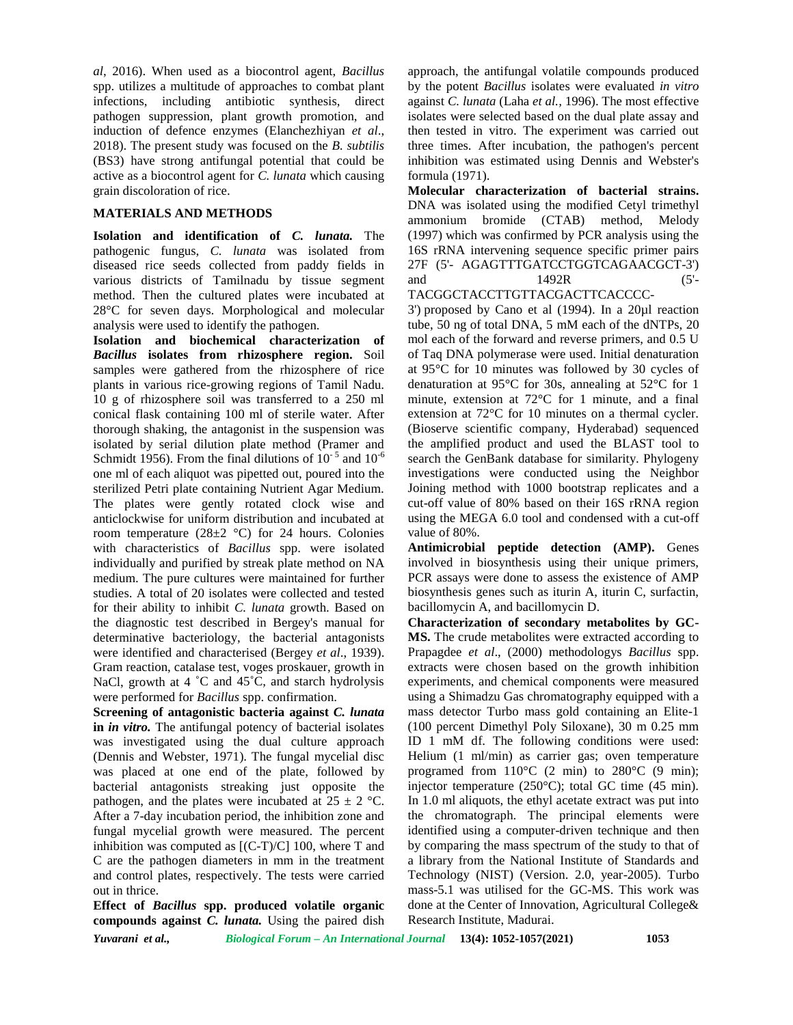*al*, 2016). When used as a biocontrol agent, *Bacillus* spp. utilizes a multitude of approaches to combat plant infections, including antibiotic synthesis, direct pathogen suppression, plant growth promotion, and induction of defence enzymes (Elanchezhiyan *et al*., 2018). The present study was focused on the *B. subtilis* (BS3) have strong antifungal potential that could be active as a biocontrol agent for *C. lunata* which causing grain discoloration of rice.

## **MATERIALS AND METHODS**

**Isolation and identification of** *C. lunata.* The pathogenic fungus, *C. lunata* was isolated from diseased rice seeds collected from paddy fields in various districts of Tamilnadu by tissue segment method. Then the cultured plates were incubated at 28°C for seven days. Morphological and molecular analysis were used to identify the pathogen.

**Isolation and biochemical characterization of** *Bacillus* **isolates from rhizosphere region.** Soil samples were gathered from the rhizosphere of rice plants in various rice-growing regions of Tamil Nadu. 10 g of rhizosphere soil was transferred to a 250 ml conical flask containing 100 ml of sterile water. After thorough shaking, the antagonist in the suspension was isolated by serial dilution plate method (Pramer and Schmidt 1956). From the final dilutions of  $10^{-5}$  and  $10^{-6}$ one ml of each aliquot was pipetted out, poured into the sterilized Petri plate containing Nutrient Agar Medium. The plates were gently rotated clock wise and anticlockwise for uniform distribution and incubated at room temperature  $(28\pm2~^{\circ}\mathrm{C})$  for 24 hours. Colonies with characteristics of *Bacillus* spp. were isolated individually and purified by streak plate method on NA medium. The pure cultures were maintained for further studies. A total of 20 isolates were collected and tested for their ability to inhibit *C. lunata* growth. Based on the diagnostic test described in Bergey's manual for determinative bacteriology, the bacterial antagonists were identified and characterised (Bergey *et al*., 1939). Gram reaction, catalase test, voges proskauer, growth in NaCl, growth at 4 °C and 45°C, and starch hydrolysis were performed for *Bacillus* spp. confirmation.

**Screening of antagonistic bacteria against** *C. lunata* **in** *in vitro.* The antifungal potency of bacterial isolates was investigated using the dual culture approach (Dennis and Webster, 1971). The fungal mycelial disc was placed at one end of the plate, followed by bacterial antagonists streaking just opposite the pathogen, and the plates were incubated at  $25 \pm 2$  °C. After a 7-day incubation period, the inhibition zone and fungal mycelial growth were measured. The percent inhibition was computed as [(C-T)/C] 100, where T and C are the pathogen diameters in mm in the treatment and control plates, respectively. The tests were carried out in thrice.

**Effect of** *Bacillus* **spp. produced volatile organic compounds against** *C. lunata.* Using the paired dish

approach, the antifungal volatile compounds produced by the potent *Bacillus* isolates were evaluated *in vitro* against *C. lunata* (Laha *et al.,* 1996). The most effective isolates were selected based on the dual plate assay and then tested in vitro. The experiment was carried out three times. After incubation, the pathogen's percent inhibition was estimated using Dennis and Webster's formula (1971).

**Molecular characterization of bacterial strains.** DNA was isolated using the modified Cetyl trimethyl ammonium bromide (CTAB) method, Melody (1997) which was confirmed by PCR analysis using the 16S rRNA intervening sequence specific primer pairs 27F (5'- AGAGTTTGATCCTGGTCAGAACGCT-3') and 1492R (5'-TACGGCTACCTTGTTACGACTTCACCCC-

3') proposed by Cano et al (1994). In a 20µl reaction tube, 50 ng of total DNA, 5 mM each of the dNTPs, 20 mol each of the forward and reverse primers, and 0.5 U of Taq DNA polymerase were used. Initial denaturation at 95°C for 10 minutes was followed by 30 cycles of denaturation at 95°C for 30s, annealing at 52°C for 1 minute, extension at 72°C for 1 minute, and a final extension at 72°C for 10 minutes on a thermal cycler. (Bioserve scientific company, Hyderabad) sequenced the amplified product and used the BLAST tool to search the GenBank database for similarity. Phylogeny investigations were conducted using the Neighbor Joining method with 1000 bootstrap replicates and a cut-off value of 80% based on their 16S rRNA region using the MEGA 6.0 tool and condensed with a cut-off value of 80%.

**Antimicrobial peptide detection (AMP).** Genes involved in biosynthesis using their unique primers, PCR assays were done to assess the existence of AMP biosynthesis genes such as iturin A, iturin C, surfactin, bacillomycin A, and bacillomycin D.

**Characterization of secondary metabolites by GC- MS.** The crude metabolites were extracted according to Prapagdee *et al*., (2000) methodologys *Bacillus* spp. extracts were chosen based on the growth inhibition experiments, and chemical components were measured using a Shimadzu Gas chromatography equipped with a mass detector Turbo mass gold containing an Elite-1 (100 percent Dimethyl Poly Siloxane), 30 m 0.25 mm ID 1 mM df. The following conditions were used: Helium (1 ml/min) as carrier gas; oven temperature programed from  $110^{\circ}$ C (2 min) to  $280^{\circ}$ C (9 min); injector temperature (250°C); total GC time (45 min). In 1.0 ml aliquots, the ethyl acetate extract was put into the chromatograph. The principal elements were identified using a computer-driven technique and then by comparing the mass spectrum of the study to that of a library from the National Institute of Standards and Technology (NIST) (Version. 2.0, year-2005). Turbo mass-5.1 was utilised for the GC-MS. This work was done at the Center of Innovation, Agricultural College& Research Institute, Madurai.

*Yuvarani et al., Biological Forum – An International Journal* **13(4): 1052-1057(2021) 1053**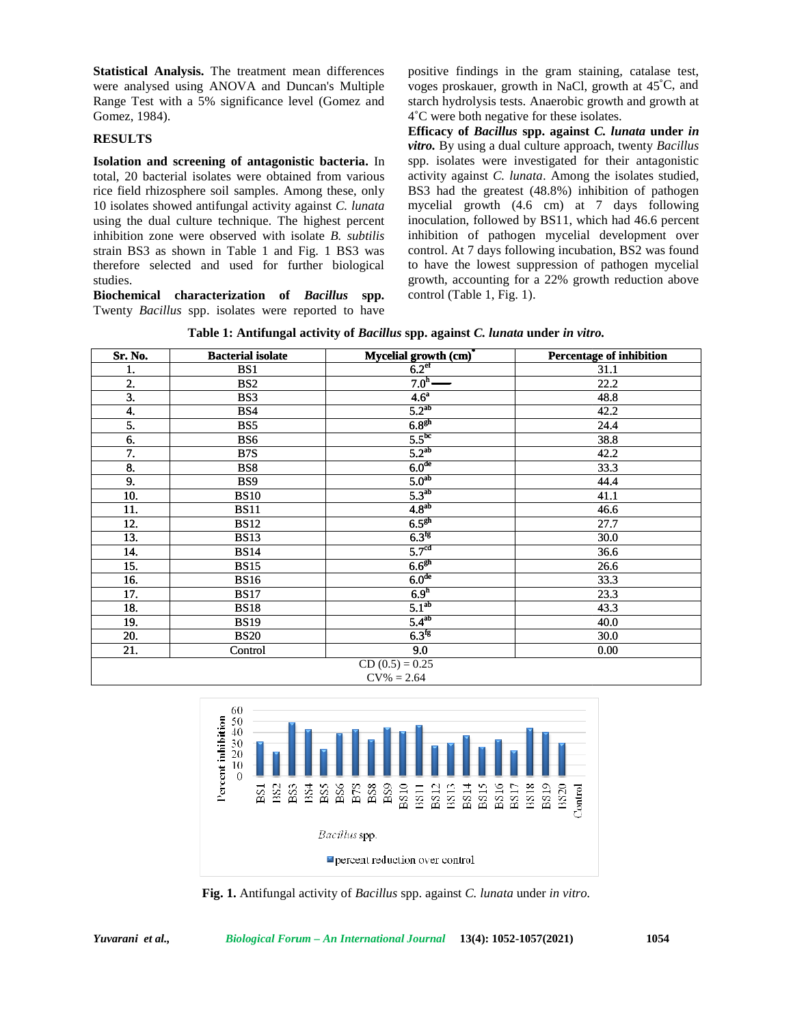## **RESULTS**

| Table 1: Antifungal activity of <i>Bacillus</i> spp. against <i>C. lunata</i> under in vitro. |  |  |  |
|-----------------------------------------------------------------------------------------------|--|--|--|
|-----------------------------------------------------------------------------------------------|--|--|--|

| Gomez, 1984).    | Statistical Analysis. The treatment mean differences<br>were analysed using ANOVA and Duncan's Multiple<br>Range Test with a 5% significance level (Gomez and                                                                                                                                                                                                                                                                                                                                                                                                          |                                                                                                                                                                                                                                                    | positive findings in the gram staining, catalase test,<br>voges proskauer, growth in NaCl, growth at 45°C, and<br>starch hydrolysis tests. Anaerobic growth and growth at<br>4°C were both negative for these isolates.                                                                                                                                                                                                                                                                                       |
|------------------|------------------------------------------------------------------------------------------------------------------------------------------------------------------------------------------------------------------------------------------------------------------------------------------------------------------------------------------------------------------------------------------------------------------------------------------------------------------------------------------------------------------------------------------------------------------------|----------------------------------------------------------------------------------------------------------------------------------------------------------------------------------------------------------------------------------------------------|---------------------------------------------------------------------------------------------------------------------------------------------------------------------------------------------------------------------------------------------------------------------------------------------------------------------------------------------------------------------------------------------------------------------------------------------------------------------------------------------------------------|
| <b>RESULTS</b>   |                                                                                                                                                                                                                                                                                                                                                                                                                                                                                                                                                                        |                                                                                                                                                                                                                                                    | Efficacy of Bacillus spp. against C. lunata under in<br>vitro. By using a dual culture approach, twenty Bacillus                                                                                                                                                                                                                                                                                                                                                                                              |
| studies.         | Isolation and screening of antagonistic bacteria. In<br>total, 20 bacterial isolates were obtained from various<br>rice field rhizosphere soil samples. Among these, only<br>10 isolates showed antifungal activity against C. lunata<br>using the dual culture technique. The highest percent<br>inhibition zone were observed with isolate B. subtilis<br>strain BS3 as shown in Table 1 and Fig. 1 BS3 was<br>therefore selected and used for further biological<br>Biochemical characterization of Bacillus<br>Twenty Bacillus spp. isolates were reported to have | control (Table 1, Fig. 1).<br>spp.<br>Table 1: Antifungal activity of Bacillus spp. against C. lunata under in vitro.                                                                                                                              | spp. isolates were investigated for their antagonistic<br>activity against C. lunata. Among the isolates studied,<br>BS3 had the greatest (48.8%) inhibition of pathogen<br>mycelial growth (4.6 cm) at 7 days following<br>inoculation, followed by BS11, which had 46.6 percent<br>inhibition of pathogen mycelial development over<br>control. At 7 days following incubation, BS2 was found<br>to have the lowest suppression of pathogen mycelial<br>growth, accounting for a 22% growth reduction above |
| Sr. No.          | <b>Bacterial isolate</b>                                                                                                                                                                                                                                                                                                                                                                                                                                                                                                                                               | Mycelial growth $\frac{(\text{cm})^*}{6.2^{\text{ef}}}$                                                                                                                                                                                            | <b>Percentage of inhibition</b>                                                                                                                                                                                                                                                                                                                                                                                                                                                                               |
| 1.               | $\overline{BS1}$                                                                                                                                                                                                                                                                                                                                                                                                                                                                                                                                                       |                                                                                                                                                                                                                                                    | 31.1                                                                                                                                                                                                                                                                                                                                                                                                                                                                                                          |
| 2.<br>3.         | BS <sub>2</sub><br>BS3                                                                                                                                                                                                                                                                                                                                                                                                                                                                                                                                                 | 7.0 <sup>h</sup><br>4.6 <sup>a</sup>                                                                                                                                                                                                               | 22.2<br>48.8                                                                                                                                                                                                                                                                                                                                                                                                                                                                                                  |
| 4.               | BS4                                                                                                                                                                                                                                                                                                                                                                                                                                                                                                                                                                    | 5.2 <sup>ab</sup>                                                                                                                                                                                                                                  | 42.2                                                                                                                                                                                                                                                                                                                                                                                                                                                                                                          |
| 5.               | BS5                                                                                                                                                                                                                                                                                                                                                                                                                                                                                                                                                                    | 6.8 <sup>gh</sup>                                                                                                                                                                                                                                  | 24.4                                                                                                                                                                                                                                                                                                                                                                                                                                                                                                          |
| 6.               | BS6                                                                                                                                                                                                                                                                                                                                                                                                                                                                                                                                                                    | $5.5^{bc}$                                                                                                                                                                                                                                         | 38.8                                                                                                                                                                                                                                                                                                                                                                                                                                                                                                          |
| 7.               | B <sub>7</sub> S                                                                                                                                                                                                                                                                                                                                                                                                                                                                                                                                                       | $5.2^{ab}$                                                                                                                                                                                                                                         | 42.2                                                                                                                                                                                                                                                                                                                                                                                                                                                                                                          |
| 8.               | BS8                                                                                                                                                                                                                                                                                                                                                                                                                                                                                                                                                                    | 6.0 <sup>de</sup>                                                                                                                                                                                                                                  | 33.3                                                                                                                                                                                                                                                                                                                                                                                                                                                                                                          |
| 9.               | BS9                                                                                                                                                                                                                                                                                                                                                                                                                                                                                                                                                                    | 5.0 <sup>ab</sup>                                                                                                                                                                                                                                  | 44.4                                                                                                                                                                                                                                                                                                                                                                                                                                                                                                          |
| 10.              | <b>BS10</b>                                                                                                                                                                                                                                                                                                                                                                                                                                                                                                                                                            | $5.3^{ab}$                                                                                                                                                                                                                                         | 41.1                                                                                                                                                                                                                                                                                                                                                                                                                                                                                                          |
| 11.              | <b>BS11</b>                                                                                                                                                                                                                                                                                                                                                                                                                                                                                                                                                            | 4.8 <sup>ab</sup><br>6.5 <sup>gh</sup>                                                                                                                                                                                                             | 46.6                                                                                                                                                                                                                                                                                                                                                                                                                                                                                                          |
| 12.<br>13.       | <b>BS12</b><br><b>BS13</b>                                                                                                                                                                                                                                                                                                                                                                                                                                                                                                                                             | $6.3$ <sup>fg</sup>                                                                                                                                                                                                                                | 27.7<br>30.0                                                                                                                                                                                                                                                                                                                                                                                                                                                                                                  |
| 14.              | <b>BS14</b>                                                                                                                                                                                                                                                                                                                                                                                                                                                                                                                                                            | 5.7 <sup>cd</sup>                                                                                                                                                                                                                                  | 36.6                                                                                                                                                                                                                                                                                                                                                                                                                                                                                                          |
| 15.              | <b>BS15</b>                                                                                                                                                                                                                                                                                                                                                                                                                                                                                                                                                            | 6.6 <sup>gh</sup>                                                                                                                                                                                                                                  | 26.6                                                                                                                                                                                                                                                                                                                                                                                                                                                                                                          |
| 16.              | <b>BS16</b>                                                                                                                                                                                                                                                                                                                                                                                                                                                                                                                                                            | 6.0 <sup>de</sup>                                                                                                                                                                                                                                  | 33.3                                                                                                                                                                                                                                                                                                                                                                                                                                                                                                          |
| 17.              | <b>BS17</b>                                                                                                                                                                                                                                                                                                                                                                                                                                                                                                                                                            | 6.9 <sup>h</sup>                                                                                                                                                                                                                                   | 23.3                                                                                                                                                                                                                                                                                                                                                                                                                                                                                                          |
| 18.              | <b>BS18</b>                                                                                                                                                                                                                                                                                                                                                                                                                                                                                                                                                            | 5.1 <sup>ab</sup>                                                                                                                                                                                                                                  | 43.3                                                                                                                                                                                                                                                                                                                                                                                                                                                                                                          |
| 19.              | <b>BS19</b>                                                                                                                                                                                                                                                                                                                                                                                                                                                                                                                                                            | $5.4^{ab}$                                                                                                                                                                                                                                         | 40.0                                                                                                                                                                                                                                                                                                                                                                                                                                                                                                          |
| 20.              | <b>BS20</b>                                                                                                                                                                                                                                                                                                                                                                                                                                                                                                                                                            | $6.3$ <sup>fg</sup>                                                                                                                                                                                                                                | 30.0                                                                                                                                                                                                                                                                                                                                                                                                                                                                                                          |
| 21.              | Control                                                                                                                                                                                                                                                                                                                                                                                                                                                                                                                                                                | 9.0<br>$CD(0.5) = 0.25$<br>$CV\% = 2.64$                                                                                                                                                                                                           | 0.00                                                                                                                                                                                                                                                                                                                                                                                                                                                                                                          |
|                  | 60<br>Percent inhibition<br>$\frac{50}{40}$<br>$\frac{30}{20}$<br>10<br>0<br>BS3<br>BS4<br>BS.<br>BS.<br>BS.                                                                                                                                                                                                                                                                                                                                                                                                                                                           | $_{\rm BS8}$<br>B7S<br>BS <sub>9</sub><br>BS13<br>BS16<br>BS6<br>BS10<br>BS15<br><b>BS14</b><br>13311<br>BS12<br>Bacillus spp.<br>percent reduction over control<br>Fig. 1. Antifungal activity of Bacillus spp. against C. lunata under in vitro. | BS18<br>BS19<br>Control<br><b>BS20</b><br>BS17                                                                                                                                                                                                                                                                                                                                                                                                                                                                |
| Yuvarani et al., |                                                                                                                                                                                                                                                                                                                                                                                                                                                                                                                                                                        | Biological Forum - An International Journal 13(4): 1052-1057(2021)                                                                                                                                                                                 | 1054                                                                                                                                                                                                                                                                                                                                                                                                                                                                                                          |



**Fig. 1.** Antifungal activity of *Bacillus* spp. against *C. lunata* under *in vitro.*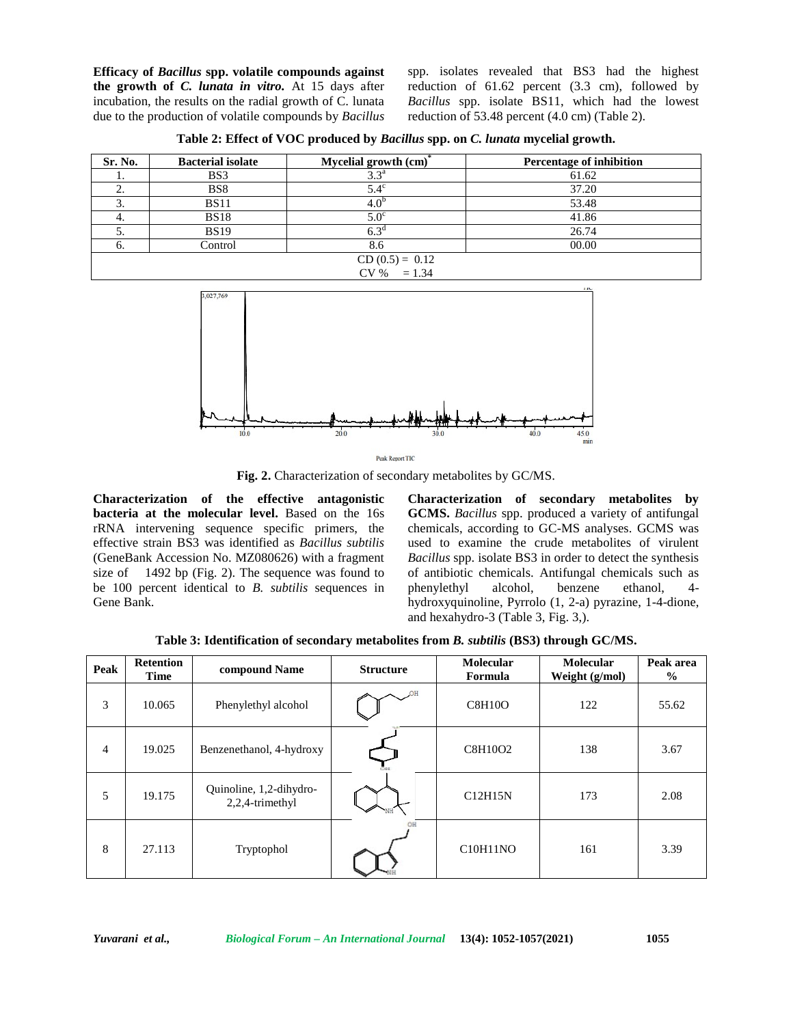**Efficacy of** *Bacillus* **spp. volatile compounds against the growth of** *C. lunata in vitro.* At 15 days after incubation, the results on the radial growth of C. lunata due to the production of volatile compounds by *Bacillus*

spp. isolates revealed that BS3 had the highest reduction of 61.62 percent (3.3 cm), followed by *Bacillus* spp. isolate BS11, which had the lowest reduction of 53.48 percent (4.0 cm) (Table 2).

**Table 2: Effect of VOC produced by** *Bacillus* **spp. on** *C. lunata* **mycelial growth.**

| Sr. No.           | <b>Bacterial isolate</b> | Mycelial growth (cm) <sup>*</sup> | Percentage of inhibition |  |
|-------------------|--------------------------|-----------------------------------|--------------------------|--|
|                   | BS3                      | 3.3 <sup>a</sup>                  | 61.62                    |  |
| ٠.                | BS8                      | $5.4^\circ$                       | 37.20                    |  |
| . د               | <b>BS11</b>              | $4.0^{\circ}$                     | 53.48                    |  |
| 4.                | <b>BS18</b>              | $5.0^\circ$                       | 41.86                    |  |
| J.                | <b>BS19</b>              | 6.3 <sup>d</sup>                  | 26.74                    |  |
| o.                | Control                  | 8.6                               | 00.00                    |  |
| $CD (0.5) = 0.12$ |                          |                                   |                          |  |
| $CV \% = 1.34$    |                          |                                   |                          |  |



**Fig. 2.** Characterization of secondary metabolites by GC/MS.

**Characterization of the effective antagonistic bacteria at the molecular level.** Based on the 16s rRNA intervening sequence specific primers, the effective strain BS3 was identified as *Bacillus subtilis* (GeneBank Accession No. MZ080626) with a fragment size of 1492 bp (Fig. 2). The sequence was found to be 100 percent identical to *B. subtilis* sequences in Gene Bank.

**Characterization of secondary metabolites by GCMS.** *Bacillus* spp. produced a variety of antifungal chemicals, according to GC-MS analyses. GCMS was used to examine the crude metabolites of virulent *Bacillus* spp. isolate BS3 in order to detect the synthesis of antibiotic chemicals. Antifungal chemicals such as phenylethyl alcohol, benzene ethanol, 4 hydroxyquinoline, Pyrrolo (1, 2-a) pyrazine, 1-4-dione, and hexahydro-3 (Table 3, Fig. 3,).

**Table 3: Identification of secondary metabolites from** *B. subtilis* **(BS3) through GC/MS.**

| Peak           | <b>Retention</b><br>Time | compound Name                              | <b>Structure</b> | Molecular<br>Formula | Molecular<br>Weight (g/mol) | Peak area<br>$\frac{0}{0}$ |
|----------------|--------------------------|--------------------------------------------|------------------|----------------------|-----------------------------|----------------------------|
| 3              | 10.065                   | Phenylethyl alcohol                        |                  | <b>C8H10O</b>        | 122                         | 55.62                      |
| $\overline{4}$ | 19.025                   | Benzenethanol, 4-hydroxy                   |                  | C8H10O2              | 138                         | 3.67                       |
| 5              | 19.175                   | Quinoline, 1,2-dihydro-<br>2,2,4-trimethyl |                  | C12H15N              | 173                         | 2.08                       |
| 8              | 27.113                   | Tryptophol                                 |                  | C10H11NO             | 161                         | 3.39                       |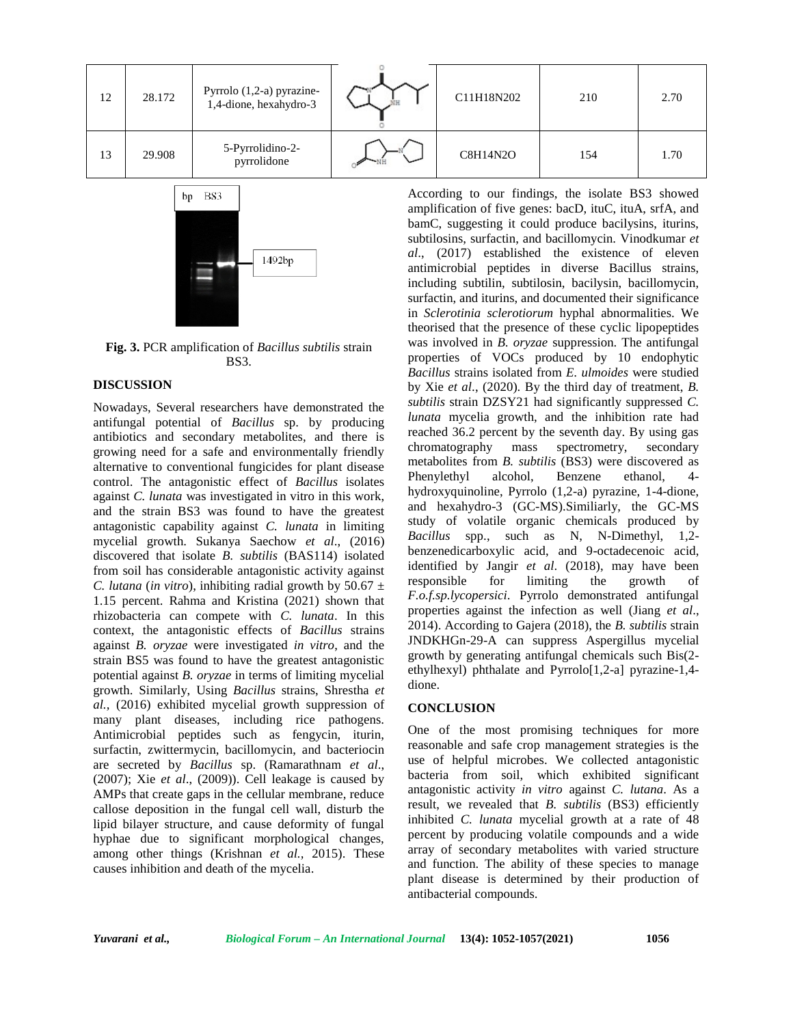



**Fig. 3.** PCR amplification of *Bacillus subtilis* strain BS3.

# **DISCUSSION**

Nowadays, Several researchers have demonstrated the antifungal potential of *Bacillus* sp. by producing antibiotics and secondary metabolites, and there is growing need for a safe and environmentally friendly alternative to conventional fungicides for plant disease control. The antagonistic effect of *Bacillus* isolates against *C. lunata* was investigated in vitro in this work, and the strain BS3 was found to have the greatest antagonistic capability against *C. lunata* in limiting mycelial growth. Sukanya Saechow *et al*., (2016) discovered that isolate *B. subtilis* (BAS114) isolated from soil has considerable antagonistic activity against *C. lutana* (*in vitro*), inhibiting radial growth by 50.67  $\pm$ 1.15 percent. Rahma and Kristina (2021) shown that rhizobacteria can compete with *C. lunata*. In this context, the antagonistic effects of *Bacillus* strains against *B. oryzae* were investigated *in vitro*, and the strain BS5 was found to have the greatest antagonistic potential against *B. oryzae* in terms of limiting mycelial growth. Similarly, Using *Bacillus* strains, Shrestha *et al.,* (2016) exhibited mycelial growth suppression of many plant diseases, including rice pathogens. Antimicrobial peptides such as fengycin, iturin, surfactin, zwittermycin, bacillomycin, and bacteriocin are secreted by *Bacillus* sp. (Ramarathnam *et al*., (2007); Xie *et al*., (2009)). Cell leakage is caused by AMPs that create gaps in the cellular membrane, reduce callose deposition in the fungal cell wall, disturb the lipid bilayer structure, and cause deformity of fungal hyphae due to significant morphological changes, among other things (Krishnan *et al.,* 2015). These causes inhibition and death of the mycelia.

According to our findings, the isolate BS3 showed amplification of five genes: bacD, ituC, ituA, srfA, and bamC, suggesting it could produce bacilysins, iturins, subtilosins, surfactin, and bacillomycin. Vinodkumar *et al*., (2017) established the existence of eleven antimicrobial peptides in diverse Bacillus strains, including subtilin, subtilosin, bacilysin, bacillomycin, surfactin, and iturins, and documented their significance in *Sclerotinia sclerotiorum* hyphal abnormalities. We theorised that the presence of these cyclic lipopeptides was involved in *B. oryzae* suppression. The antifungal properties of VOCs produced by 10 endophytic *Bacillus* strains isolated from *E. ulmoides* were studied by Xie *et al*., (2020). By the third day of treatment, *B. subtilis* strain DZSY21 had significantly suppressed *C. lunata* mycelia growth, and the inhibition rate had reached 36.2 percent by the seventh day. By using gas chromatography mass spectrometry, secondary metabolites from *B. subtilis* (BS3) were discovered as Phenylethyl alcohol, Benzene ethanol, 4 hydroxyquinoline, Pyrrolo (1,2-a) pyrazine, 1-4-dione, and hexahydro-3 (GC-MS).Similiarly, the GC-MS study of volatile organic chemicals produced by *Bacillus* spp., such as N, N-Dimethyl, 1,2 benzenedicarboxylic acid, and 9-octadecenoic acid, identified by Jangir *et al*. (2018), may have been responsible for limiting the growth of *F.o.f.sp.lycopersici*. Pyrrolo demonstrated antifungal properties against the infection as well (Jiang *et al*., 2014). According to Gajera (2018), the *B. subtilis* strain JNDKHGn-29-A can suppress Aspergillus mycelial growth by generating antifungal chemicals such Bis(2 ethylhexyl) phthalate and Pyrrolo[1,2-a] pyrazine-1,4 dione.

#### **CONCLUSION**

One of the most promising techniques for more reasonable and safe crop management strategies is the use of helpful microbes. We collected antagonistic bacteria from soil, which exhibited significant antagonistic activity *in vitro* against *C. lutana*. As a result, we revealed that *B. subtilis* (BS3) efficiently inhibited *C. lunata* mycelial growth at a rate of 48 percent by producing volatile compounds and a wide array of secondary metabolites with varied structure and function. The ability of these species to manage plant disease is determined by their production of antibacterial compounds.